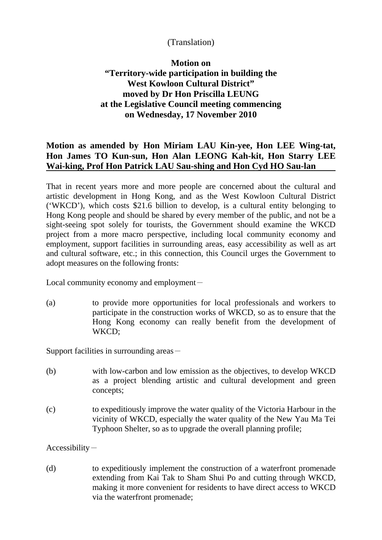## (Translation)

## **Motion on "Territory-wide participation in building the West Kowloon Cultural District" moved by Dr Hon Priscilla LEUNG at the Legislative Council meeting commencing on Wednesday, 17 November 2010**

## **Motion as amended by Hon Miriam LAU Kin-yee, Hon LEE Wing-tat, Hon James TO Kun-sun, Hon Alan LEONG Kah-kit, Hon Starry LEE Wai-king, Prof Hon Patrick LAU Sau-shing and Hon Cyd HO Sau-lan**

That in recent years more and more people are concerned about the cultural and artistic development in Hong Kong, and as the West Kowloon Cultural District ('WKCD'), which costs \$21.6 billion to develop, is a cultural entity belonging to Hong Kong people and should be shared by every member of the public, and not be a sight-seeing spot solely for tourists, the Government should examine the WKCD project from a more macro perspective, including local community economy and employment, support facilities in surrounding areas, easy accessibility as well as art and cultural software, etc.; in this connection, this Council urges the Government to adopt measures on the following fronts:

Local community economy and employment $-$ 

(a) to provide more opportunities for local professionals and workers to participate in the construction works of WKCD, so as to ensure that the Hong Kong economy can really benefit from the development of WKCD;

Support facilities in surrounding areas  $-$ 

- (b) with low-carbon and low emission as the objectives, to develop WKCD as a project blending artistic and cultural development and green concepts;
- (c) to expeditiously improve the water quality of the Victoria Harbour in the vicinity of WKCD, especially the water quality of the New Yau Ma Tei Typhoon Shelter, so as to upgrade the overall planning profile;

 $Accessibility-$ 

(d) to expeditiously implement the construction of a waterfront promenade extending from Kai Tak to Sham Shui Po and cutting through WKCD, making it more convenient for residents to have direct access to WKCD via the waterfront promenade;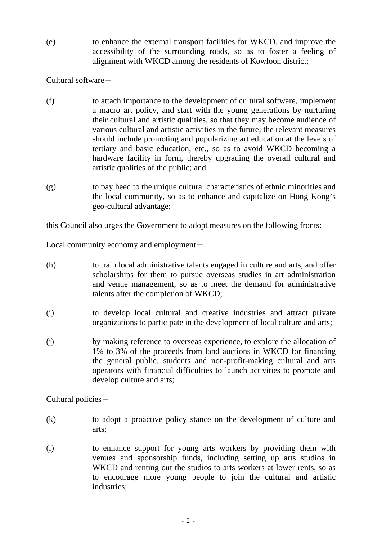(e) to enhance the external transport facilities for WKCD, and improve the accessibility of the surrounding roads, so as to foster a feeling of alignment with WKCD among the residents of Kowloon district;

Cultural software-

- (f) to attach importance to the development of cultural software, implement a macro art policy, and start with the young generations by nurturing their cultural and artistic qualities, so that they may become audience of various cultural and artistic activities in the future; the relevant measures should include promoting and popularizing art education at the levels of tertiary and basic education, etc., so as to avoid WKCD becoming a hardware facility in form, thereby upgrading the overall cultural and artistic qualities of the public; and
- (g) to pay heed to the unique cultural characteristics of ethnic minorities and the local community, so as to enhance and capitalize on Hong Kong's geo-cultural advantage;

this Council also urges the Government to adopt measures on the following fronts:

Local community economy and employment $-$ 

- (h) to train local administrative talents engaged in culture and arts, and offer scholarships for them to pursue overseas studies in art administration and venue management, so as to meet the demand for administrative talents after the completion of WKCD;
- (i) to develop local cultural and creative industries and attract private organizations to participate in the development of local culture and arts;
- (j) by making reference to overseas experience, to explore the allocation of 1% to 3% of the proceeds from land auctions in WKCD for financing the general public, students and non-profit-making cultural and arts operators with financial difficulties to launch activities to promote and develop culture and arts;

Cultural policies-

- (k) to adopt a proactive policy stance on the development of culture and arts;
- (l) to enhance support for young arts workers by providing them with venues and sponsorship funds, including setting up arts studios in WKCD and renting out the studios to arts workers at lower rents, so as to encourage more young people to join the cultural and artistic industries;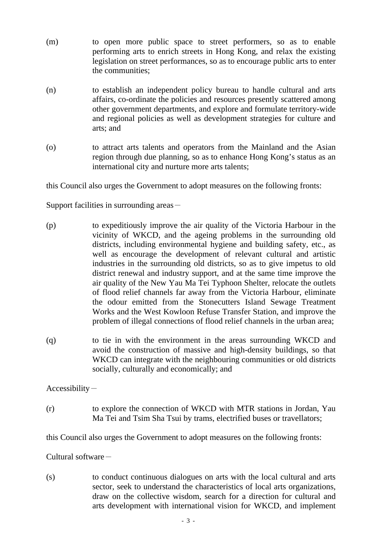- (m) to open more public space to street performers, so as to enable performing arts to enrich streets in Hong Kong, and relax the existing legislation on street performances, so as to encourage public arts to enter the communities;
- (n) to establish an independent policy bureau to handle cultural and arts affairs, co-ordinate the policies and resources presently scattered among other government departments, and explore and formulate territory-wide and regional policies as well as development strategies for culture and arts; and
- (o) to attract arts talents and operators from the Mainland and the Asian region through due planning, so as to enhance Hong Kong's status as an international city and nurture more arts talents;

this Council also urges the Government to adopt measures on the following fronts:

Support facilities in surrounding areas $-$ 

- (p) to expeditiously improve the air quality of the Victoria Harbour in the vicinity of WKCD, and the ageing problems in the surrounding old districts, including environmental hygiene and building safety, etc., as well as encourage the development of relevant cultural and artistic industries in the surrounding old districts, so as to give impetus to old district renewal and industry support, and at the same time improve the air quality of the New Yau Ma Tei Typhoon Shelter, relocate the outlets of flood relief channels far away from the Victoria Harbour, eliminate the odour emitted from the Stonecutters Island Sewage Treatment Works and the West Kowloon Refuse Transfer Station, and improve the problem of illegal connections of flood relief channels in the urban area;
- (q) to tie in with the environment in the areas surrounding WKCD and avoid the construction of massive and high-density buildings, so that WKCD can integrate with the neighbouring communities or old districts socially, culturally and economically; and

 $Accessibility-$ 

(r) to explore the connection of WKCD with MTR stations in Jordan, Yau Ma Tei and Tsim Sha Tsui by trams, electrified buses or travellators;

this Council also urges the Government to adopt measures on the following fronts:

Cultural software-

(s) to conduct continuous dialogues on arts with the local cultural and arts sector, seek to understand the characteristics of local arts organizations, draw on the collective wisdom, search for a direction for cultural and arts development with international vision for WKCD, and implement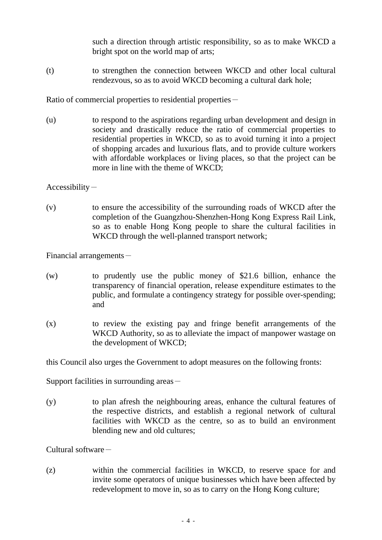such a direction through artistic responsibility, so as to make WKCD a bright spot on the world map of arts;

(t) to strengthen the connection between WKCD and other local cultural rendezvous, so as to avoid WKCD becoming a cultural dark hole;

Ratio of commercial properties to residential properties -

(u) to respond to the aspirations regarding urban development and design in society and drastically reduce the ratio of commercial properties to residential properties in WKCD, so as to avoid turning it into a project of shopping arcades and luxurious flats, and to provide culture workers with affordable workplaces or living places, so that the project can be more in line with the theme of WKCD;

 $Accessibility-$ 

(v) to ensure the accessibility of the surrounding roads of WKCD after the completion of the Guangzhou-Shenzhen-Hong Kong Express Rail Link, so as to enable Hong Kong people to share the cultural facilities in WKCD through the well-planned transport network;

Financial arrangements $-$ 

- (w) to prudently use the public money of \$21.6 billion, enhance the transparency of financial operation, release expenditure estimates to the public, and formulate a contingency strategy for possible over-spending; and
- (x) to review the existing pay and fringe benefit arrangements of the WKCD Authority, so as to alleviate the impact of manpower wastage on the development of WKCD;

this Council also urges the Government to adopt measures on the following fronts:

Support facilities in surrounding areas $-$ 

(y) to plan afresh the neighbouring areas, enhance the cultural features of the respective districts, and establish a regional network of cultural facilities with WKCD as the centre, so as to build an environment blending new and old cultures;

Cultural software-

(z) within the commercial facilities in WKCD, to reserve space for and invite some operators of unique businesses which have been affected by redevelopment to move in, so as to carry on the Hong Kong culture;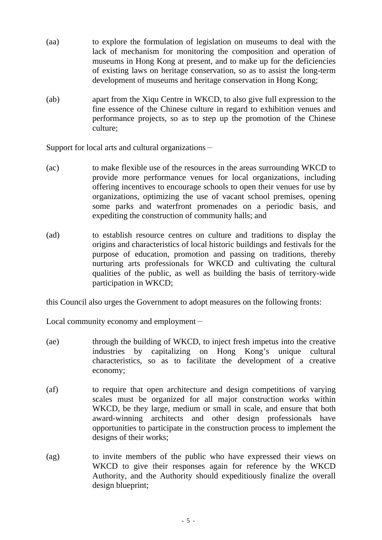- (aa) to explore the formulation of legislation on museums to deal with the lack of mechanism for monitoring the composition and operation of museums in Hong Kong at present, and to make up for the deficiencies of existing laws on heritage conservation, so as to assist the long-term development of museums and heritage conservation in Hong Kong;
- (ab) apart from the Xiqu Centre in WKCD, to also give full expression to the fine essence of the Chinese culture in regard to exhibition venues and performance projects, so as to step up the promotion of the Chinese culture;

Support for local arts and cultural organizations-

- (ac) to make flexible use of the resources in the areas surrounding WKCD to provide more performance venues for local organizations, including offering incentives to encourage schools to open their venues for use by organizations, optimizing the use of vacant school premises, opening some parks and waterfront promenades on a periodic basis, and expediting the construction of community halls; and
- (ad) to establish resource centres on culture and traditions to display the origins and characteristics of local historic buildings and festivals for the purpose of education, promotion and passing on traditions, thereby nurturing arts professionals for WKCD and cultivating the cultural qualities of the public, as well as building the basis of territory-wide participation in WKCD;

this Council also urges the Government to adopt measures on the following fronts:

Local community economy and employment $-$ 

- (ae) through the building of WKCD, to inject fresh impetus into the creative industries by capitalizing on Hong Kong's unique cultural characteristics, so as to facilitate the development of a creative economy;
- (af) to require that open architecture and design competitions of varying scales must be organized for all major construction works within WKCD, be they large, medium or small in scale, and ensure that both award-winning architects and other design professionals have opportunities to participate in the construction process to implement the designs of their works;
- (ag) to invite members of the public who have expressed their views on WKCD to give their responses again for reference by the WKCD Authority, and the Authority should expeditiously finalize the overall design blueprint;